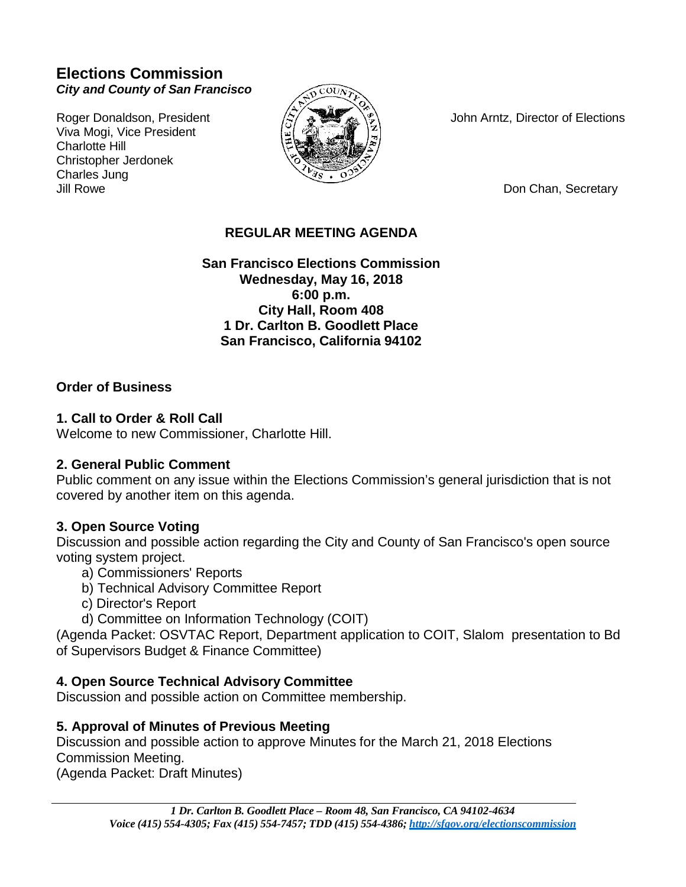# **Elections Commission** *City and County of San Francisco*

Viva Mogi, Vice President Charlotte Hill Christopher Jerdonek Charles Jung<br>Jill Rowe



Roger Donaldson, President  $\langle \hat{z} \rangle$   $\langle \hat{z} \rangle$   $\langle \hat{z} \rangle$  John Arntz, Director of Elections

Don Chan, Secretary

### **REGULAR MEETING AGENDA**

**San Francisco Elections Commission Wednesday, May 16, 2018 6:00 p.m. City Hall, Room 408 1 Dr. Carlton B. Goodlett Place San Francisco, California 94102**

#### **Order of Business**

#### **1. Call to Order & Roll Call**

Welcome to new Commissioner, Charlotte Hill.

#### **2. General Public Comment**

Public comment on any issue within the Elections Commission's general jurisdiction that is not covered by another item on this agenda.

#### **3. Open Source Voting**

Discussion and possible action regarding the City and County of San Francisco's open source voting system project.

- a) Commissioners' Reports
- b) Technical Advisory Committee Report
- c) Director's Report
- d) Committee on Information Technology (COIT)

(Agenda Packet: OSVTAC Report, Department application to COIT, Slalom presentation to Bd of Supervisors Budget & Finance Committee)

#### **4. Open Source Technical Advisory Committee**

Discussion and possible action on Committee membership.

#### **5. Approval of Minutes of Previous Meeting**

Discussion and possible action to approve Minutes for the March 21, 2018 Elections Commission Meeting.

(Agenda Packet: Draft Minutes)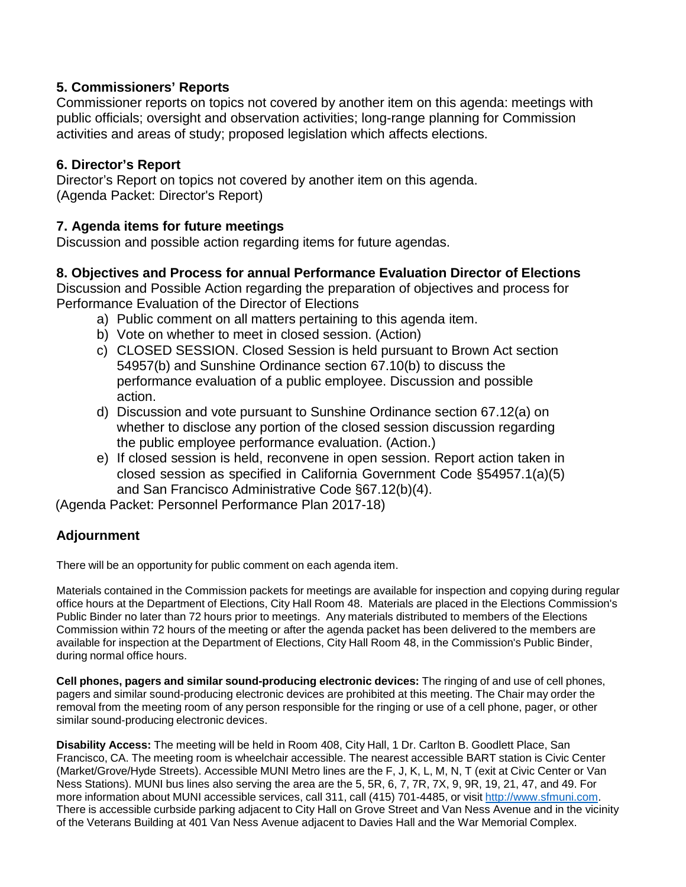### **5. Commissioners' Reports**

Commissioner reports on topics not covered by another item on this agenda: meetings with public officials; oversight and observation activities; long-range planning for Commission activities and areas of study; proposed legislation which affects elections.

### **6. Director's Report**

Director's Report on topics not covered by another item on this agenda. (Agenda Packet: Director's Report)

### **7. Agenda items for future meetings**

Discussion and possible action regarding items for future agendas.

## **8. Objectives and Process for annual Performance Evaluation Director of Elections**

Discussion and Possible Action regarding the preparation of objectives and process for Performance Evaluation of the Director of Elections

- a) Public comment on all matters pertaining to this agenda item.
- b) Vote on whether to meet in closed session. (Action)
- c) CLOSED SESSION. Closed Session is held pursuant to Brown Act section 54957(b) and Sunshine Ordinance section 67.10(b) to discuss the performance evaluation of a public employee. Discussion and possible action.
- d) Discussion and vote pursuant to Sunshine Ordinance section 67.12(a) on whether to disclose any portion of the closed session discussion regarding the public employee performance evaluation. (Action.)
- e) If closed session is held, reconvene in open session. Report action taken in closed session as specified in California Government Code §54957.1(a)(5) and San Francisco Administrative Code §67.12(b)(4).

(Agenda Packet: Personnel Performance Plan 2017-18)

# **Adjournment**

There will be an opportunity for public comment on each agenda item.

Materials contained in the Commission packets for meetings are available for inspection and copying during regular office hours at the Department of Elections, City Hall Room 48. Materials are placed in the Elections Commission's Public Binder no later than 72 hours prior to meetings. Any materials distributed to members of the Elections Commission within 72 hours of the meeting or after the agenda packet has been delivered to the members are available for inspection at the Department of Elections, City Hall Room 48, in the Commission's Public Binder, during normal office hours.

**Cell phones, pagers and similar sound-producing electronic devices:** The ringing of and use of cell phones, pagers and similar sound-producing electronic devices are prohibited at this meeting. The Chair may order the removal from the meeting room of any person responsible for the ringing or use of a cell phone, pager, or other similar sound-producing electronic devices.

**Disability Access:** The meeting will be held in Room 408, City Hall, 1 Dr. Carlton B. Goodlett Place, San Francisco, CA. The meeting room is wheelchair accessible. The nearest accessible BART station is Civic Center (Market/Grove/Hyde Streets). Accessible MUNI Metro lines are the F, J, K, L, M, N, T (exit at Civic Center or Van Ness Stations). MUNI bus lines also serving the area are the 5, 5R, 6, 7, 7R, 7X, 9, 9R, 19, 21, 47, and 49. For more information about MUNI accessible services, call 311, call (415) 701-4485, or visit [http://www.sfmuni.com.](http://www.sfmuni.com/) There is accessible curbside parking adjacent to City Hall on Grove Street and Van Ness Avenue and in the vicinity of the Veterans Building at 401 Van Ness Avenue adjacent to Davies Hall and the War Memorial Complex.